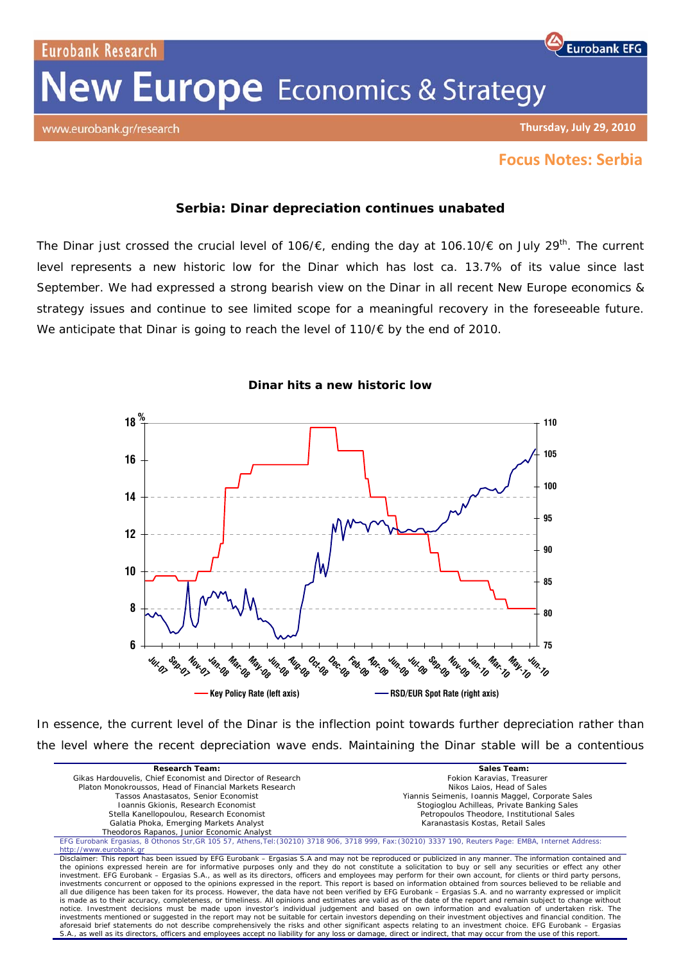Eurobank Research

# **New Europe** Economics & Strategy

www.eurobank.gr/research

### **Thursday, July 29, 2010**

**Eurobank EFG** 

## **Focus Notes: Serbia**

## **Serbia: Dinar depreciation continues unabated**

The Dinar just crossed the crucial level of 106/ $\epsilon$ , ending the day at 106.10/ $\epsilon$  on July 29<sup>th</sup>. The current level represents a new historic low for the Dinar which has lost ca. 13.7% of its value since last September. We had expressed a strong bearish view on the Dinar in all recent *New Europe economics & strategy* issues and continue to see limited scope for a meaningful recovery in the foreseeable future. We anticipate that Dinar is going to reach the level of 110/€ by the end of 2010.



### **Dinar hits a new historic low**

In essence, the current level of the Dinar is the inflection point towards further depreciation rather than the level where the recent depreciation wave ends. Maintaining the Dinar stable will be a contentious

| <b>Research Team:</b>                                                                                                                                                                                                                                                                                                                                                                                                                                                                                                                                                                                                                                                                                                                                                                                                                                                                                                                                                                                                                                                                                                                                                                                                                                                                                                                                                                                                                                                                                                                                                                                                                                                        | Sales Team:                                       |
|------------------------------------------------------------------------------------------------------------------------------------------------------------------------------------------------------------------------------------------------------------------------------------------------------------------------------------------------------------------------------------------------------------------------------------------------------------------------------------------------------------------------------------------------------------------------------------------------------------------------------------------------------------------------------------------------------------------------------------------------------------------------------------------------------------------------------------------------------------------------------------------------------------------------------------------------------------------------------------------------------------------------------------------------------------------------------------------------------------------------------------------------------------------------------------------------------------------------------------------------------------------------------------------------------------------------------------------------------------------------------------------------------------------------------------------------------------------------------------------------------------------------------------------------------------------------------------------------------------------------------------------------------------------------------|---------------------------------------------------|
| Gikas Hardouvelis, Chief Economist and Director of Research                                                                                                                                                                                                                                                                                                                                                                                                                                                                                                                                                                                                                                                                                                                                                                                                                                                                                                                                                                                                                                                                                                                                                                                                                                                                                                                                                                                                                                                                                                                                                                                                                  | Fokion Karavias, Treasurer                        |
| Platon Monokroussos, Head of Financial Markets Research                                                                                                                                                                                                                                                                                                                                                                                                                                                                                                                                                                                                                                                                                                                                                                                                                                                                                                                                                                                                                                                                                                                                                                                                                                                                                                                                                                                                                                                                                                                                                                                                                      | Nikos Laios, Head of Sales                        |
| Tassos Anastasatos, Senior Economist                                                                                                                                                                                                                                                                                                                                                                                                                                                                                                                                                                                                                                                                                                                                                                                                                                                                                                                                                                                                                                                                                                                                                                                                                                                                                                                                                                                                                                                                                                                                                                                                                                         | Yiannis Seimenis, Ioannis Maggel, Corporate Sales |
| Ioannis Gkionis, Research Economist                                                                                                                                                                                                                                                                                                                                                                                                                                                                                                                                                                                                                                                                                                                                                                                                                                                                                                                                                                                                                                                                                                                                                                                                                                                                                                                                                                                                                                                                                                                                                                                                                                          | Stogioglou Achilleas, Private Banking Sales       |
| Stella Kanellopoulou, Research Economist                                                                                                                                                                                                                                                                                                                                                                                                                                                                                                                                                                                                                                                                                                                                                                                                                                                                                                                                                                                                                                                                                                                                                                                                                                                                                                                                                                                                                                                                                                                                                                                                                                     | Petropoulos Theodore, Institutional Sales         |
| Galatia Phoka, Emerging Markets Analyst                                                                                                                                                                                                                                                                                                                                                                                                                                                                                                                                                                                                                                                                                                                                                                                                                                                                                                                                                                                                                                                                                                                                                                                                                                                                                                                                                                                                                                                                                                                                                                                                                                      | Karanastasis Kostas, Retail Sales                 |
| Theodoros Rapanos, Junior Economic Analyst                                                                                                                                                                                                                                                                                                                                                                                                                                                                                                                                                                                                                                                                                                                                                                                                                                                                                                                                                                                                                                                                                                                                                                                                                                                                                                                                                                                                                                                                                                                                                                                                                                   |                                                   |
| EFG Eurobank Ergasias, 8 Othonos Str, GR 105 57, Athens, Tel: (30210) 3718 906, 3718 999, Fax: (30210) 3337 190, Reuters Page: EMBA, Internet Address:                                                                                                                                                                                                                                                                                                                                                                                                                                                                                                                                                                                                                                                                                                                                                                                                                                                                                                                                                                                                                                                                                                                                                                                                                                                                                                                                                                                                                                                                                                                       |                                                   |
| http://www.eurobank.gr                                                                                                                                                                                                                                                                                                                                                                                                                                                                                                                                                                                                                                                                                                                                                                                                                                                                                                                                                                                                                                                                                                                                                                                                                                                                                                                                                                                                                                                                                                                                                                                                                                                       |                                                   |
| Disclaimer: This report has been issued by EFG Eurobank – Ergasias S.A and may not be reproduced or publicized in any manner. The information contained and<br>the opinions expressed herein are for informative purposes only and they do not constitute a solicitation to buy or sell any securities or effect any other<br>investment. EFG Eurobank – Ergasias S.A., as well as its directors, officers and employees may perform for their own account, for clients or third party persons,<br>investments concurrent or opposed to the opinions expressed in the report. This report is based on information obtained from sources believed to be reliable and<br>all due diligence has been taken for its process. However, the data have not been verified by EFG Eurobank – Ergasias S.A. and no warranty expressed or implicit<br>is made as to their accuracy, completeness, or timeliness. All opinions and estimates are valid as of the date of the report and remain subject to change without<br>notice. Investment decisions must be made upon investor's individual judgement and based on own information and evaluation of undertaken risk. The<br>investments mentioned or suggested in the report may not be suitable for certain investors depending on their investment objectives and financial condition. The<br>aforesaid brief statements do not describe comprehensively the risks and other significant aspects relating to an investment choice. EFG Eurobank - Ergasias<br>S.A., as well as its directors, officers and employees accept no liability for any loss or damage, direct or indirect, that may occur from the use of this report. |                                                   |